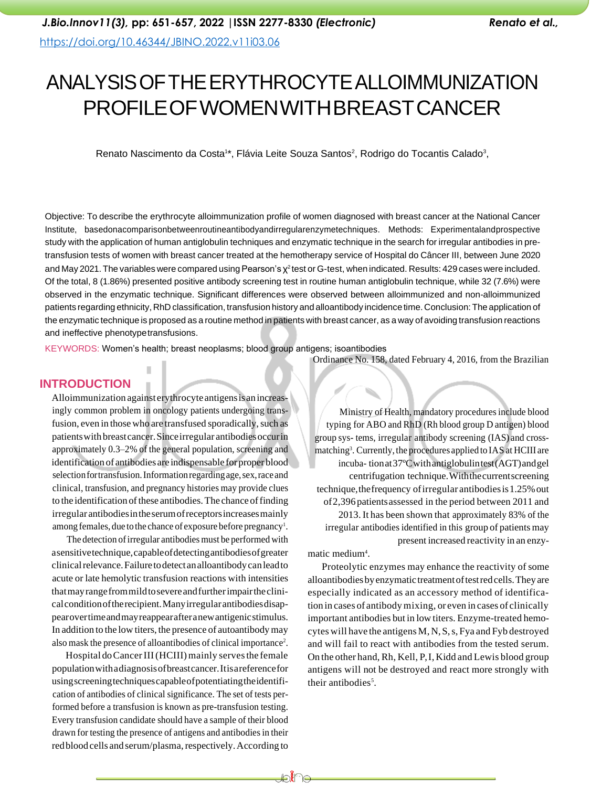# ANALYSISOFTHEERYTHROCYTEALLOIMMUNIZATION PROFILEOFWOMENWITHBREASTCANCER

Renato Nascimento da Costa<sup>1\*</sup>, Flávia Leite Souza Santos<sup>2</sup>, Rodrigo do Tocantis Calado<sup>3</sup>,

Objective: To describe the erythrocyte alloimmunization profile of women diagnosed with breast cancer at the National Cancer Institute, basedonacomparisonbetweenroutineantibodyandirregularenzymetechniques. Methods: Experimentalandprospective study with the application of human antiglobulin techniques and enzymatic technique in the search for irregular antibodies in pretransfusion tests of women with breast cancer treated at the hemotherapy service of Hospital do Câncer III, between June 2020 and May 2021. The variables were compared using Pearson's  $\chi^2$  test or G-test, when indicated. Results: 429 cases were included. Of the total, 8 (1.86%) presented positive antibody screening test in routine human antiglobulin technique, while 32 (7.6%) were observed in the enzymatic technique. Significant differences were observed between alloimmunized and non-alloimmunized patients regarding ethnicity, RhD classification, transfusion history and alloantibody incidence time.Conclusion:The application of the enzymatic technique is proposed as a routine method in patients with breast cancer, as a way of avoiding transfusion reactions and ineffective phenotypetransfusions.

KEYWORDS: Women's health; breast neoplasms; blood group antigens; isoantibodies

### **INTRODUCTION**

Alloimmunization against erythrocyte antigensisanincreasingly common problem in oncology patients undergoing transfusion, even in those who are transfused sporadically, such as patientswithbreastcancer.Sinceirregular antibodiesoccurin approximately 0.3–2% of the general population, screening and identification of antibodies are indispensable forproper blood selection for transfusion. Information regarding age, sex, race and clinical, transfusion, and pregnancy histories may provide clues to the identification of these antibodies. The chance of finding irregular antibodiesintheserumofreceptorsincreasesmainly among females, due to the chance of exposure before pregnancy<sup>1</sup>.

The detection of irregular antibodies must be performed with asensitivetechnique,capableofdetectingantibodiesofgreater clinical relevance. Failure to detect an alloantibody can lead to acute or late hemolytic transfusion reactions with intensities thatmayrangefrommildtosevereandfurtherimpairtheclinicalconditionoftherecipient.Manyirregularantibodiesdisappearovertimeandmayreappearafteranewantigenicstimulus. In addition to the low titers, the presence of autoantibodymay also mask the presence of alloantibodies of clinical importance<sup>2</sup>.

Hospital do Cancer III (HCIII) mainly serves the female populationwithadiagnosisofbreastcancer.Itisareferencefor usingscreeningtechniquescapableofpotentiatingtheidentification of antibodies of clinical significance. The set of tests performed before a transfusion is known as pre-transfusion testing. Every transfusion candidate should have a sample of their blood drawn for testing the presence of antigens and antibodies in their red blood cells and serum/plasma, respectively. According to Ordinance No. 158, dated February 4, 2016, from the Brazilian

Ministry of Health, mandatory proceduresinclude blood typing for ABO and RhD (Rh blood group D antigen) blood group sys- tems, irregular antibody screening (IAS) and crossmatching<sup>3</sup>. Currently, the procedures applied to IAS at HCIII are incuba- tionat37ºCwithantiglobulintest(AGT)andgel centrifugation technique.Withthecurrentscreening technique, the frequency of irregular antibodies is 1.25% out of2,396patientsassessed in the period between 2011 and 2013. It has been shown that approximately 83% of the irregular antibodies identified in this group of patients may present increased reactivity in an enzy-

matic medium<sup>4</sup>.

Proteolytic enzymes may enhance the reactivity of some alloantibodiesbyenzymatic treatmentoftestredcells.Theyare especially indicated as an accessory method of identification in cases of antibody mixing, or even in cases of clinically important antibodies but in low titers. Enzyme-treated hemocytes will have the antigens M, N, S, s, Fya and Fyb destroyed and will fail to react with antibodies from the tested serum. On the other hand,Rh, Kell, P,I, Kidd and Lewis blood group antigens will not be destroyed and react more strongly with their antibodies<sup>5</sup>.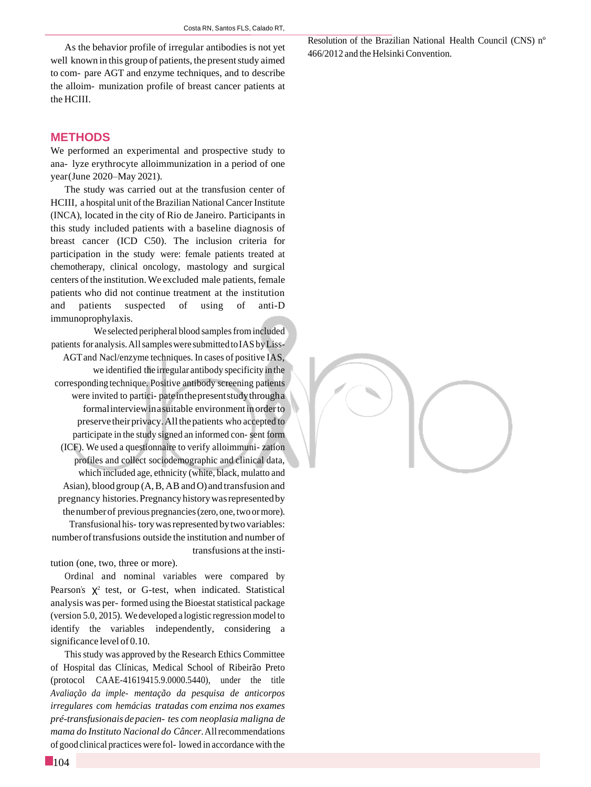As the behavior profile of irregular antibodies is not yet well known in this group of patients, the present study aimed to com- pare AGT and enzyme techniques, and to describe the alloim- munization profile of breast cancer patients at the HCIII.

#### **METHODS**

We performed an experimental and prospective study to ana- lyze erythrocyte alloimmunization in a period of one year(June 2020–May 2021).

The study was carried out at the transfusion center of HCIII, a hospital unit of the Brazilian National Cancer Institute (INCA), located in the city of Rio de Janeiro. Participants in this study included patients with a baseline diagnosis of breast cancer (ICD C50). The inclusion criteria for participation in the study were: female patients treated at chemotherapy, clinical oncology, mastology and surgical centers of the institution. We excluded male patients, female patients who did not continue treatment at the institution and patients suspected of using of anti-D immunoprophylaxis.

We selected peripheral blood samples from included patients for analysis. All samples were submitted to IAS by Liss-AGTand Nacl/enzyme techniques. In cases of positive IAS, we identified the irregular antibody specificity in the corresponding technique. Positive antibody screening patients were invited to partici- pateinthepresentstudythrougha formalinterviewinasuitable environmentinorderto preserve their privacy. All the patients who accepted to participate in the study signed an informed con- sent form (ICF). We used a questionnaire to verify alloimmuni- zation profiles and collect sociodemographic and clinical data, which included age, ethnicity (white, black, mulatto and Asian), blood group (A,B,ABandO) and transfusion and pregnancy histories.Pregnancyhistorywasrepresentedby thenumberof previous pregnancies(zero, one, two ormore). Transfusional his- tory was represented by two variables: numberoftransfusions outside the institution and number of transfusions at the insti-

tution (one, two, three or more).

Ordinal and nominal variables were compared by Pearson's  $\chi^2$  test, or G-test, when indicated. Statistical analysis was per- formed using the Bioestat statistical package (version 5.0, 2015). Wedeveloped a logistic regressionmodel to identify the variables independently, considering a significance level of 0.10.

Thisstudy was approved by the Research Ethics Committee of Hospital das Clínicas, Medical School of Ribeirão Preto (protocol CAAE-41619415.9.0000.5440), under the title *Avaliação da imple- mentação da pesquisa de anticorpos irregulares com hemácias tratadas com enzima nos exames pré-transfusionaisdepacien- tes com neoplasia maligna de mama do Instituto Nacional do Câncer*.Allrecommendations of good clinical practiceswere fol- lowed in accordance with the Resolution of the Brazilian National Health Council (CNS) nº 466/2012 and the Helsinki Convention.

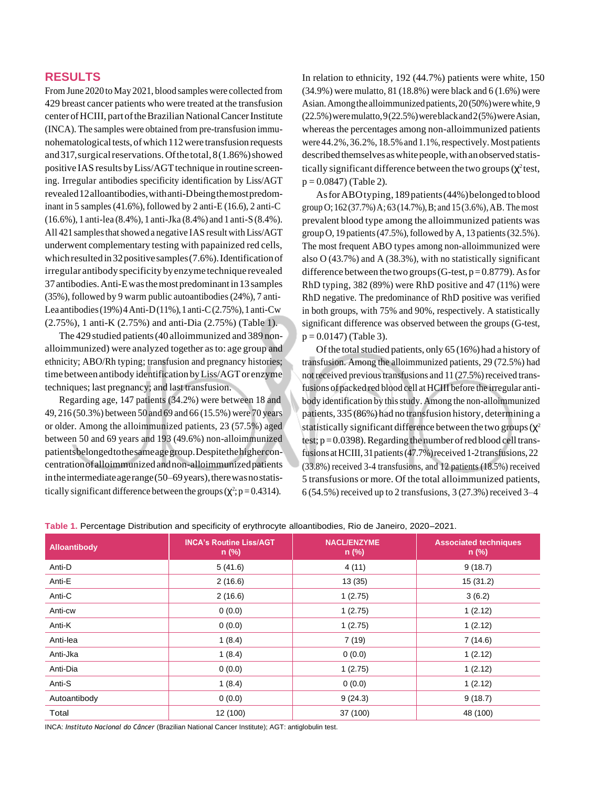### **RESULTS**

From June 2020 to May 2021, blood samples were collected from 429 breast cancer patients who were treated at the transfusion center of HCIII, part of the Brazilian National Cancer Institute (INCA). The samples were obtained from pre-transfusion immunohematological tests, of which 112 were transfusion requests and 317, surgical reservations. Of the total, 8(1.86%) showed positive IAS results by Liss/AGT technique in routine screening. Irregular antibodies specificity identification by Liss/AGT revealed12alloantibodies,withanti-Dbeingthemostpredominant in 5 samples (41.6%), followed by 2 anti-E (16.6), 2 anti-C (16.6%), 1 anti-lea (8.4%), 1 anti-Jka (8.4%) and 1 anti-S (8.4%). All 421 samples that showed a negative IAS result with Liss/AGT underwent complementary testing with papainized red cells, which resulted in 32 positive samples (7.6%). Identification of irregular antibodyspecificity byenzyme technique revealed 37antibodies.Anti-Ewasthemostpredominantin13 samples (35%), followed by 9 warm public autoantibodies (24%), 7 anti-Lea antibodies (19%) 4 Anti-D(11%), 1 anti-C(2.75%), 1 anti-Cw (2.75%), 1 anti-K (2.75%) and anti-Dia (2.75%) (Table 1).

The 429 studied patients(40 alloimmunized and 389 nonalloimmunized) were analyzed together asto: age group and ethnicity; ABO/Rh typing; transfusion and pregnancy histories; time between antibody identification by Liss/AGT or enzyme techniques; last pregnancy; and last transfusion.

Regarding age, 147 patients (34.2%) were between 18 and 49, 216 (50.3%) between 50 and 69 and 66 (15.5%) were 70 years or older. Among the alloimmunized patients, 23 (57.5%) aged between 50 and 69 years and 193 (49.6%) non-alloimmunized patientsbelongedtothesameagegroup.Despitethehigherconcentrationofalloimmunizedandnon-alloimmunizedpatients in the intermediate age range  $(50-69 \,\text{years})$ , there was no statistically significant difference between the groups ( $\chi^2$ ; p = 0.4314).

In relation to ethnicity, 192 (44.7%) patients were white, 150 (34.9%) were mulatto, 81 (18.8%) were black and 6 (1.6%) were Asian. Among the alloimmunized patients, 20(50%) were white, 9  $(22.5\%)$  were mulatto,  $9(22.5\%)$  were black and  $2(5\%)$  were Asian, whereasthe percentages among non-alloimmunized patients were 44.2%, 36.2%, 18.5% and 1.1%, respectively. Most patients described themselves as white people, with an observed statistically significant difference between the two groups  $(\chi^2)$  test,  $p = 0.0847$  (Table 2).

AsforABOtyping, 189patients(44%)belongedtoblood group O;  $162(37.7%)$  A;  $63(14.7%)$ , B; and  $15(3.6%)$ , AB. The most prevalent blood type among the alloimmunized patients was group O, 19 patients (47.5%), followed by A, 13 patients (32.5%). The most frequent ABO types among non-alloimmunized were also O (43.7%) and A (38.3%), with no statistically significant difference between the two groups (G-test,  $p=0.8779$ ). As for RhD typing, 382 (89%) were RhD positive and 47 (11%) were RhD negative. The predominance of RhD positive was verified in both groups, with 75% and 90%, respectively. A statistically significant difference was observed between the groups (G-test,  $p = 0.0147$  (Table 3).

Of the total studied patients, only  $65(16%)$  had a history of transfusion. Among the alloimmunized patients, 29 (72.5%) had not received previous transfusions and  $11 (27.5%)$  received transfusions of packed red blood cell at HCIII before the irregular antibody identification by this study. Among the non-alloimmunized patients, 335 (86%) had no transfusion history, determining a statistically significant difference between the two groups  $(\chi^2)$ test;  $p=0.0398$ ). Regarding the number of red blood cell transfusions at HCIII, 31 patients (47.7%) received 1-2 transfusions, 22 (33.8%) received 3-4 transfusions, and 12 patients (18.5%) received 5 transfusions or more. Of the total alloimmunized patients, 6 (54.5%) received up to 2 transfusions, 3 (27.3%) received 3–4

| Alloantibody | <b>INCA's Routine Liss/AGT</b><br>$n$ (%) | <b>NACL/ENZYME</b><br>$n$ (%) | <b>Associated techniques</b><br>$n$ (%) |
|--------------|-------------------------------------------|-------------------------------|-----------------------------------------|
| Anti-D       | 5(41.6)                                   | 4 (11)                        | 9(18.7)                                 |
| Anti-E       | 2(16.6)                                   | 13(35)                        | 15(31.2)                                |
| Anti-C       | 2(16.6)                                   | 1(2.75)                       | 3(6.2)                                  |
| Anti-cw      | 0(0.0)                                    | 1(2.75)                       | 1(2.12)                                 |
| Anti-K       | 0(0.0)                                    | 1(2.75)                       | 1(2.12)                                 |
| Anti-lea     | 1(8.4)                                    | 7(19)                         | 7(14.6)                                 |
| Anti-Jka     | 1(8.4)                                    | 0(0.0)                        | 1(2.12)                                 |
| Anti-Dia     | 0(0.0)                                    | 1(2.75)                       | 1(2.12)                                 |
| Anti-S       | 1(8.4)                                    | 0(0.0)                        | 1(2.12)                                 |
| Autoantibody | 0(0.0)                                    | 9(24.3)                       | 9(18.7)                                 |
| Total        | 12 (100)                                  | 37 (100)                      | 48 (100)                                |

**Table 1.** Percentage Distribution and specificity of erythrocyte alloantibodies, Rio de Janeiro, 2020–2021.

INCA: *Instituto Nacional do Câncer* (Brazilian National Cancer Institute); AGT: antiglobulin test.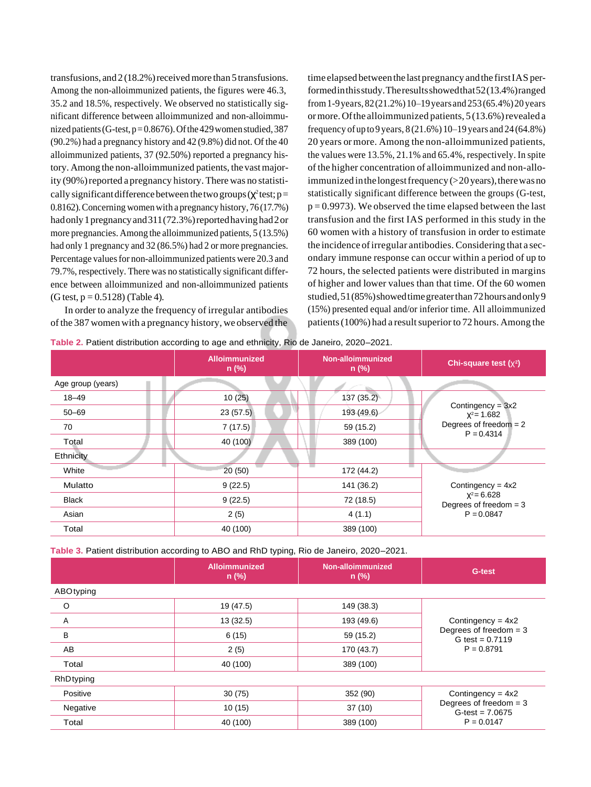transfusions, and  $2(18.2%)$  received more than 5 transfusions. Among the non-alloimmunized patients, the figures were 46.3, 35.2 and 18.5%, respectively. We observed no statistically significant difference between alloimmunized and non-alloimmunized patients (G-test,  $p=0.8676$ ). Of the 429 women studied, 387 (90.2%) had a pregnancy history and 42 (9.8%) did not. Of the 40 alloimmunized patients, 37 (92.50%) reported a pregnancy history. Among the non-alloimmunized patients, the vastmajority (90%) reported a pregnancy history. There was no statistically significant difference between the two groups ( $\chi^2$  test; p= 0.8162).Concerning womenwith a pregnancy history, 76 (17.7%) had only 1 pregnancy and 311(72.3%) reported having had 2 or more pregnancies. Among the alloimmunized patients, 5 (13.5%) had only 1 pregnancy and 32 (86.5%) had 2 or more pregnancies. Percentage valuesfor non-alloimmunized patients were 20.3 and 79.7%, respectively. There was no statistically significant difference between alloimmunized and non-alloimmunized patients  $(G test, p = 0.5128)$  (Table 4).

In order to analyze the frequency of irregular antibodies ofthe 387 women with a pregnancy history, we observed the time elapsed between the last pregnancy and the first IAS performedinthisstudy.Theresultsshowedthat52(13.4%)ranged from1-9years, 82(21.2%)10–19years and 253(65.4%)20 years ormore. Of the alloimmunized patients, 5 (13.6%) revealed a frequency of up to 9 years, 8 (21.6%) 10–19 years and 24 (64.8%) 20 years or more. Among the non-alloimmunized patients, the values were 13.5%, 21.1% and 65.4%, respectively. In spite of the higher concentration of alloimmunized and non-alloimmunized in the longest frequency  $(>20$  years), there was no statistically significant difference between the groups (G-test,  $p = 0.9973$ . We observed the time elapsed between the last transfusion and the first IAS performed in this study in the 60 women with a history of transfusion in order to estimate the incidence ofirregular antibodies. Considering that a secondary immune response can occur within a period of up to 72 hours, the selected patients were distributed in margins of higher and lower values than that time. Of the 60 women studied,51(85%)showedtimegreaterthan72hoursandonly9 (15%) presented equal and/or inferior time. All alloimmunized patients  $(100\%)$  had a result superior to 72 hours. Among the

**Table 2.** Patient distribution according to age and ethnicity, Rio de Janeiro, 2020–2021.

|                   | <b>Alloimmunized</b><br>$n$ (%) | Non-alloimmunized<br>$n$ (%) | Chi-square test $(x^2)$                                                          |
|-------------------|---------------------------------|------------------------------|----------------------------------------------------------------------------------|
| Age group (years) |                                 |                              |                                                                                  |
| $18 - 49$         | 10(25)                          | 137(35.2)                    |                                                                                  |
| $50 - 69$         | 23(57.5)                        | 193 (49.6)                   | Contingency = $3x2$<br>$X^2$ = 1.682<br>Degrees of freedom $= 2$<br>$P = 0.4314$ |
| 70                | 7(17.5)                         | 59 (15.2)                    |                                                                                  |
| Total             | 40 (100)                        | 389 (100)                    |                                                                                  |
| Ethnicity         |                                 |                              |                                                                                  |
| White             | 20(50)                          | 172 (44.2)                   |                                                                                  |
| Mulatto           | 9(22.5)                         | 141 (36.2)                   | Contingency = $4x2$                                                              |
| <b>Black</b>      | 9(22.5)                         | 72 (18.5)                    | $X^2 = 6.628$<br>Degrees of freedom $=$ 3<br>$P = 0.0847$                        |
| Asian             | 2(5)                            | 4(1.1)                       |                                                                                  |
| Total             | 40 (100)                        | 389 (100)                    |                                                                                  |

**Table 3.** Patient distribution according to ABO and RhD typing, Rio de Janeiro, 2020–2021.

|           | <b>Alloimmunized</b><br>$n$ (%) | Non-alloimmunized<br>$n$ (%) | G-test                                                                               |
|-----------|---------------------------------|------------------------------|--------------------------------------------------------------------------------------|
| ABOtyping |                                 |                              |                                                                                      |
| O         | 19 (47.5)                       | 149 (38.3)                   | Contingency = $4x2$<br>Degrees of freedom $=$ 3<br>G test = $0.7119$<br>$P = 0.8791$ |
| A         | 13(32.5)                        | 193 (49.6)                   |                                                                                      |
| B         | 6(15)                           | 59 (15.2)                    |                                                                                      |
| AB        | 2(5)                            | 170 (43.7)                   |                                                                                      |
| Total     | 40 (100)                        | 389 (100)                    |                                                                                      |
| RhDtyping |                                 |                              |                                                                                      |
| Positive  | 30(75)                          | 352 (90)                     | Contingency = $4x2$<br>Degrees of freedom $=$ 3<br>$G-test = 7.0675$<br>$P = 0.0147$ |
| Negative  | 10(15)                          | 37(10)                       |                                                                                      |
| Total     | 40 (100)                        | 389 (100)                    |                                                                                      |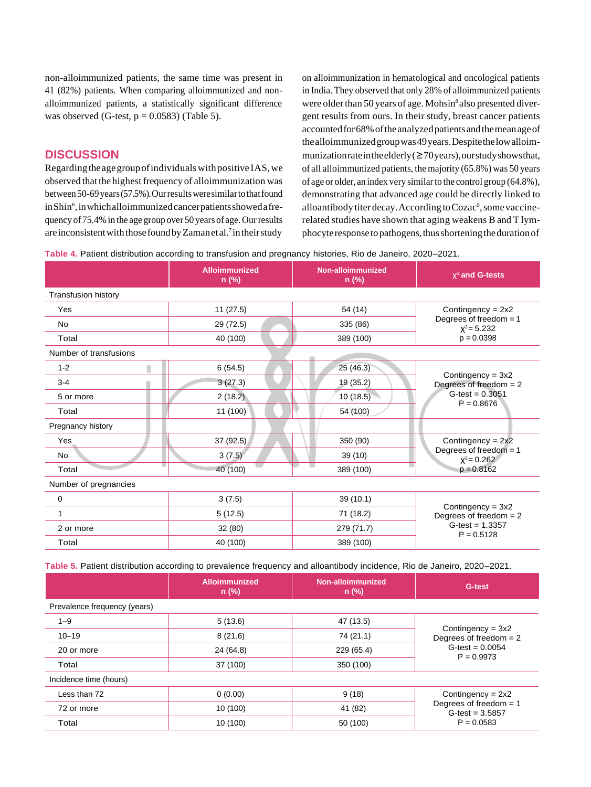non-alloimmunized patients, the same time was present in 41 (82%) patients. When comparing alloimmunized and nonalloimmunized patients, a statistically significant difference was observed (G-test,  $p = 0.0583$ ) (Table 5).

## **DISCUSSION**

Regarding theagegroupofindividualswithpositive IAS,we observed that the highestfrequency of alloimmunization was between50-69years(57.5%).Ourresultsweresimilartothatfound in Shin<sup>6</sup>, in which alloimmunized cancerpatients showed a frequency of 75.4% in the age group over 50 years of age. Ourresults are inconsistent with those found by Zaman et al.<sup>7</sup> in their study

on alloimmunization in hematological and oncological patients in India. They observed that only 28% of alloimmunized patients were older than 50 years of age. Mohsin<sup>8</sup> also presented divergent results from ours. In their study, breast cancer patients accountedfor68%oftheanalyzedpatientsandthemeanageof thealloimmunizedgroupwas49years.Despitethelowalloimmunizationrateintheelderly(≥70years),ourstudyshowsthat, of all alloimmunized patients, the majority (65.8%) was 50 years of age or older, an index very similarto the control group (64.8%), demonstrating that advanced age could be directly linked to alloantibody titer decay. According to Cozac<sup>9</sup>, some vaccinerelated studies have shown that aging weakens B and T lymphocyte response to pathogens, thus shortening the duration of

**Table 4.** Patient distribution according to transfusion and pregnancy histories, Rio de Janeiro, 2020–2021.

|                            | <b>Alloimmunized</b><br>n (%) | Non-alloimmunized<br>$n$ (%) | $X^2$ and G-tests                                                                       |
|----------------------------|-------------------------------|------------------------------|-----------------------------------------------------------------------------------------|
| <b>Transfusion history</b> |                               |                              |                                                                                         |
| Yes                        | 11(27.5)                      | 54 (14)                      | Contingency = $2x2$                                                                     |
| <b>No</b>                  | 29 (72.5)                     | 335 (86)                     | Degrees of freedom $= 1$<br>$X^2 = 5.232$                                               |
| Total                      | 40 (100)                      | 389 (100)                    | $p = 0.0398$                                                                            |
| Number of transfusions     |                               |                              |                                                                                         |
| $1 - 2$<br>п               | 6(54.5)                       | 25(46.3)                     |                                                                                         |
| $3 - 4$                    | 3(27.3)                       | 19 (35.2)                    | Contingency = $3x2$<br>Degrees of freedom $= 2$<br>$G$ -test = $0.3051$<br>$P = 0.8676$ |
| 5 or more                  | 2(18.2)                       | 10(18.5)                     |                                                                                         |
| Total                      | 11 (100)                      | 54 (100)                     |                                                                                         |
| Pregnancy history          |                               |                              |                                                                                         |
| Yes                        | 37 (92.5)                     | 350 (90)                     | Contingency = $2x2$<br>Degrees of freedom $= 1$<br>$X^2 = 0.262$<br>$p = 0.8162$        |
| No                         | 3(7.5)                        | 39 (10)                      |                                                                                         |
| Total                      | 40 (100)                      | ٠<br>389 (100)               |                                                                                         |
| Number of pregnancies      |                               |                              |                                                                                         |
| 0                          | 3(7.5)                        | 39(10.1)                     | Contingency = $3x2$<br>Degrees of freedom $= 2$<br>$G$ -test = 1.3357<br>$P = 0.5128$   |
| 1                          | 5(12.5)                       | 71 (18.2)                    |                                                                                         |
| 2 or more                  | 32(80)                        | 279 (71.7)                   |                                                                                         |
| Total                      | 40 (100)                      | 389 (100)                    |                                                                                         |

**Table 5.** Patient distribution according to prevalence frequency and alloantibody incidence, Rio de Janeiro, 2020–2021.

|                              | <b>Alloimmunized</b><br>$n$ (%) | Non-alloimmunized<br>$n$ (%) | G-test                                                                                |
|------------------------------|---------------------------------|------------------------------|---------------------------------------------------------------------------------------|
| Prevalence frequency (years) |                                 |                              |                                                                                       |
| $1 - 9$                      | 5(13.6)                         | 47 (13.5)                    | Contingency = $3x2$<br>Degrees of freedom $= 2$<br>$G$ -test = 0.0054<br>$P = 0.9973$ |
| $10 - 19$                    | 8(21.6)                         | 74 (21.1)                    |                                                                                       |
| 20 or more                   | 24 (64.8)                       | 229 (65.4)                   |                                                                                       |
| Total                        | 37 (100)                        | 350 (100)                    |                                                                                       |
| Incidence time (hours)       |                                 |                              |                                                                                       |
| Less than 72                 | 0(0.00)                         | 9(18)                        | Contingency = $2x2$<br>Degrees of freedom $= 1$<br>$G$ -test = 3.5857<br>$P = 0.0583$ |
| 72 or more                   | 10 (100)                        | 41 (82)                      |                                                                                       |
| Total                        | 10 (100)                        | 50 (100)                     |                                                                                       |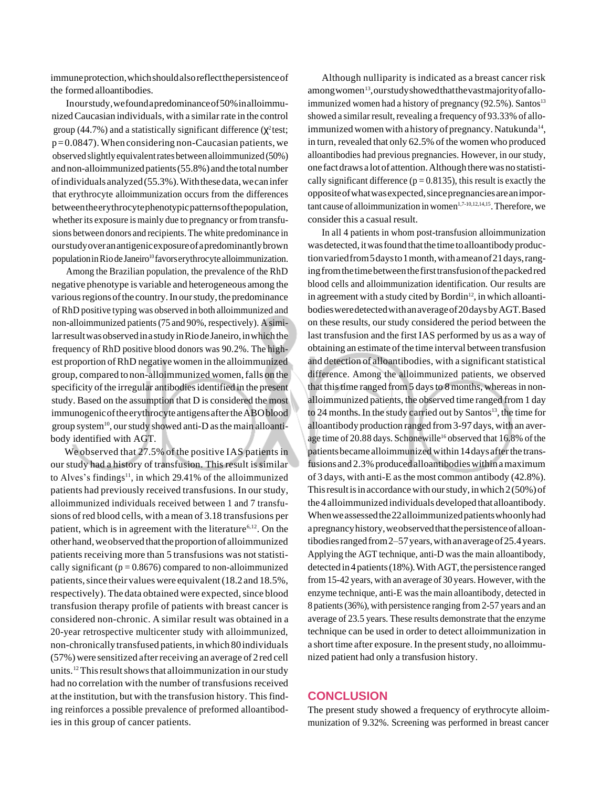immuneprotection,whichshouldalsoreflectthepersistenceof the formed alloantibodies.

Inourstudy,wefoundapredominanceof50%inalloimmunizedCaucasian individuals, with a similar rate in the control group (44.7%) and a statistically significant difference ( $\chi^2$ test;  $p=0.0847$ ). When considering non-Caucasian patients, we observed slightlyequivalentratesbetweenalloimmunized (50%) and non-alloimmunized patients (55.8%) and the total number ofindividuals analyzed(55.3%).Withthesedata,wecaninfer that erythrocyte alloimmunization occurs from the differences betweentheerythrocytephenotypicpatternsofthepopulation, whether its exposure is mainly due to pregnancy or from transfusions between donors and recipients. The white predominance in ourstudyoveranantigenicexposureofapredominantlybrown population in Rio de Janeiro<sup>10</sup> favors erythrocyte alloimmunization.

Among the Brazilian population, the prevalence of the RhD negative phenotype is variable and heterogeneous among the various regions of the country. In our study, the predominance ofRhD positive typing was observed in both alloimmunized and non-alloimmunized patients(75 and 90%, respectively). A similarresultwasobservedinastudyinRiodeJaneiro,inwhichthe frequency of RhD positive blood donors was 90.2%. The highest proportion ofRhD negativewomen in the alloimmunized group, compared to non-alloimmunized women,falls on the specificity of the irregular antibodies identified in the present study. Based on the assumption that D is considered the most immunogenicoftheerythrocyte antigensaftertheABOblood group system<sup>10</sup>, our study showed anti-D as the main alloantibody identified with AGT.

We observed that 27.5% of the positive IAS patients in our study had a history of transfusion. This result is similar to Alves's findings<sup>11</sup>, in which 29.41% of the alloimmunized patients had previously received transfusions. In our study, alloimmunized individuals received between 1 and 7 transfusions ofred blood cells, with a mean of 3.18 transfusions per patient, which is in agreement with the literature<sup> $6,12$ </sup>. On the otherhand,weobserved thattheproportionof alloimmunized patients receiving more than 5 transfusions was not statistically significant ( $p = 0.8676$ ) compared to non-alloimmunized patients, since their values were equivalent (18.2 and 18.5%, respectively). The data obtained were expected, since blood transfusion therapy profile of patients with breast cancer is considered non-chronic. A similar result was obtained in a 20-year retrospective multicenter study with alloimmunized, non-chronicallytransfused patients,inwhich 80 individuals  $(57%)$  were sensitized after receiving an average of 2 red cell units.<sup>12</sup> This result shows that alloimmunization in our study had no correlation with the number of transfusions received at the institution, but with the transfusion history. This finding reinforces a possible prevalence of preformed alloantibodies in this group of cancer patients.

Although nulliparity is indicated as a breast cancer risk among women<sup>13</sup>, our study showed that the vast majority of alloimmunized women had a history of pregnancy  $(92.5\%)$ . Santos<sup>13</sup> showed a similar result, revealing a frequency of 93.33% of alloimmunized women with a history of pregnancy. Natukunda<sup>14</sup>, in turn, revealed that only  $62.5\%$  of the women who produced alloantibodies had previous pregnancies. However, in our study, onefactdraws a lotof attention.Althoughtherewas no statistically significant difference ( $p = 0.8135$ ), this result is exactly the oppositeofwhatwasexpected,sincepregnanciesareanimportant cause of alloimmunization in women $1,7-10,12,14,15$ . Therefore, we consider this a casual result.

In all 4 patients in whom post-transfusion alloimmunization was detected, it was found that the time to alloantibody productionvariedfrom5daysto1month,withameanof21days,rangingfromthetimebetweenthefirsttransfusionofthepackedred blood cells and alloimmunization identification. Our results are in agreement with a study cited by Bordin<sup>12</sup>, in which alloantibodiesweredetectedwithanaverageof20daysbyAGT.Based on these results, our study considered the period between the last transfusion and the first IAS performed by us as a way of obtaining an estimate of the time interval between transfusion and detection of alloantibodies, with a significant statistical difference. Among the alloimmunized patients, we observed that this time ranged from 5 days to 8 months, whereas in nonalloimmunized patients, the observed time ranged from 1 day to 24 months. In the study carried out by Santos<sup>13</sup>, the time for alloantibody production ranged from3-97 days, with an average time of 20.88 days. Schonewille<sup>16</sup> observed that 16.8% of the patients became alloimmunized within 14 days after the transfusions and  $2.3\%$  produced alloantibodies within a maximum of 3 days, with anti-E asthe most common antibody (42.8%). This result is in accordance with our study, in which  $2(50\%)$  of the4 alloimmunized individuals developed that alloantibody. Whenweassessedthe22alloimmunizedpatientswhoonlyhad apregnancyhistory,weobservedthatthepersistenceofalloantibodiesrangedfrom2–57years,withanaverageof25.4years. Applying the AGT technique, anti-D was the main alloantibody, detected in 4 patients (18%). With AGT, the persistence ranged from 15-42 years, with an average of 30 years. However, with the enzyme technique, anti-E wasthe main alloantibody, detected in 8 patients(36%), with persistence ranging from 2-57 years and an average of 23.5 years. These results demonstrate that the enzyme technique can be used in order to detect alloimmunization in a short time after exposure. In the present study, no alloimmunized patient had only a transfusion history.

#### **CONCLUSION**

The present study showed a frequency of erythrocyte alloimmunization of 9.32%. Screening was performed in breast cancer